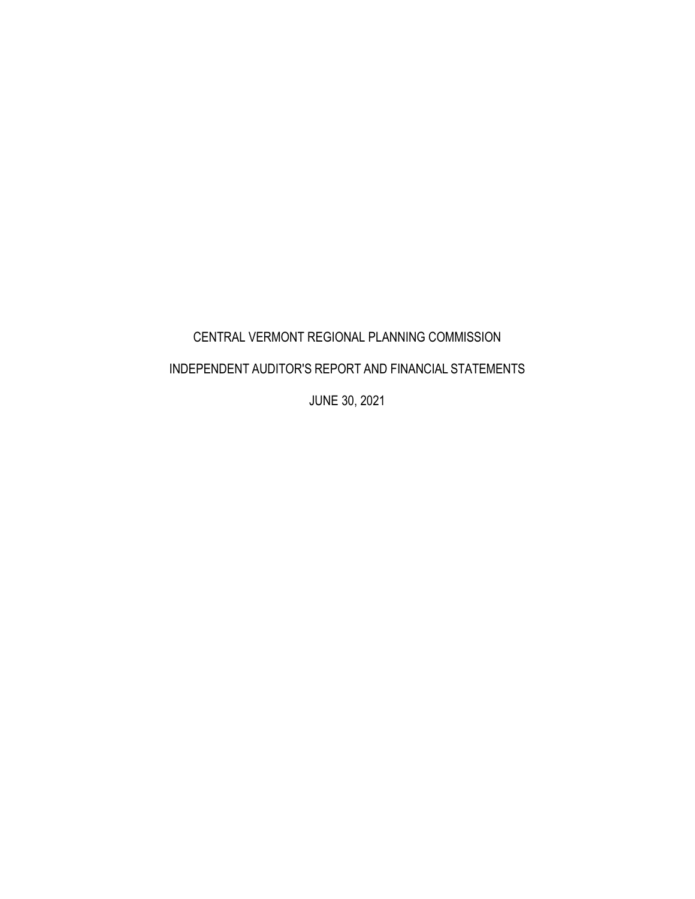# CENTRAL VERMONT REGIONAL PLANNING COMMISSION

## INDEPENDENT AUDITOR'S REPORT AND FINANCIAL STATEMENTS

JUNE 30, 2021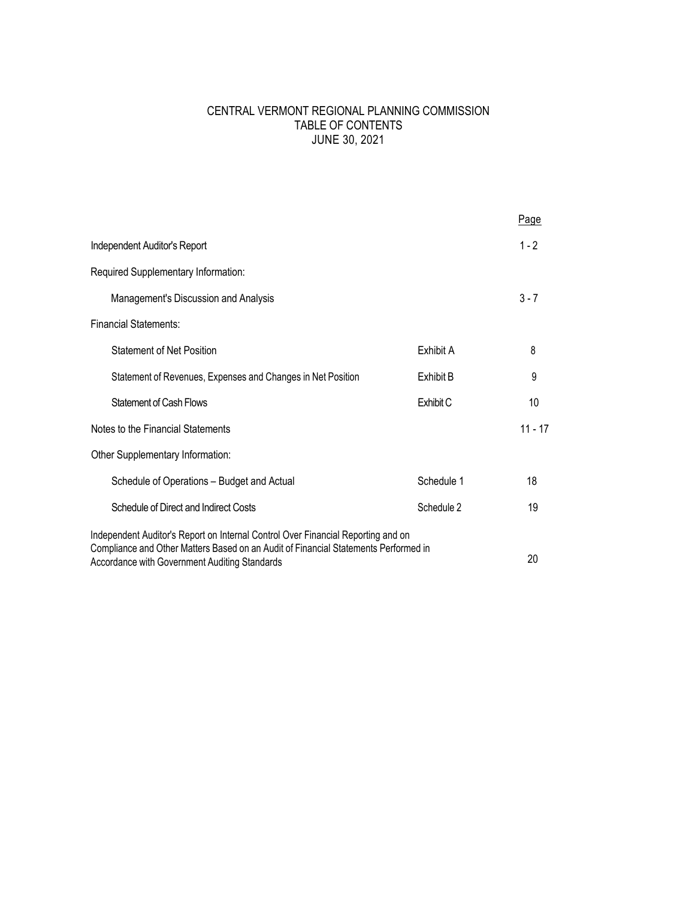## CENTRAL VERMONT REGIONAL PLANNING COMMISSION TABLE OF CONTENTS JUNE 30, 2021

|                                                                                                                                      |            | Page      |
|--------------------------------------------------------------------------------------------------------------------------------------|------------|-----------|
| Independent Auditor's Report                                                                                                         |            | $1 - 2$   |
| Required Supplementary Information:                                                                                                  |            |           |
| Management's Discussion and Analysis                                                                                                 |            | $3 - 7$   |
| <b>Financial Statements:</b>                                                                                                         |            |           |
| <b>Statement of Net Position</b>                                                                                                     | Exhibit A  | 8         |
| Statement of Revenues, Expenses and Changes in Net Position                                                                          | Exhibit B  | 9         |
| <b>Statement of Cash Flows</b>                                                                                                       | Exhibit C  | 10        |
| Notes to the Financial Statements                                                                                                    |            | $11 - 17$ |
| Other Supplementary Information:                                                                                                     |            |           |
| Schedule of Operations - Budget and Actual                                                                                           | Schedule 1 | 18        |
| Schedule of Direct and Indirect Costs                                                                                                | Schedule 2 | 19        |
| Independent Auditor's Report on Internal Control Over Financial Reporting and on                                                     |            |           |
| Compliance and Other Matters Based on an Audit of Financial Statements Performed in<br>Accordance with Government Auditing Standards |            | 20        |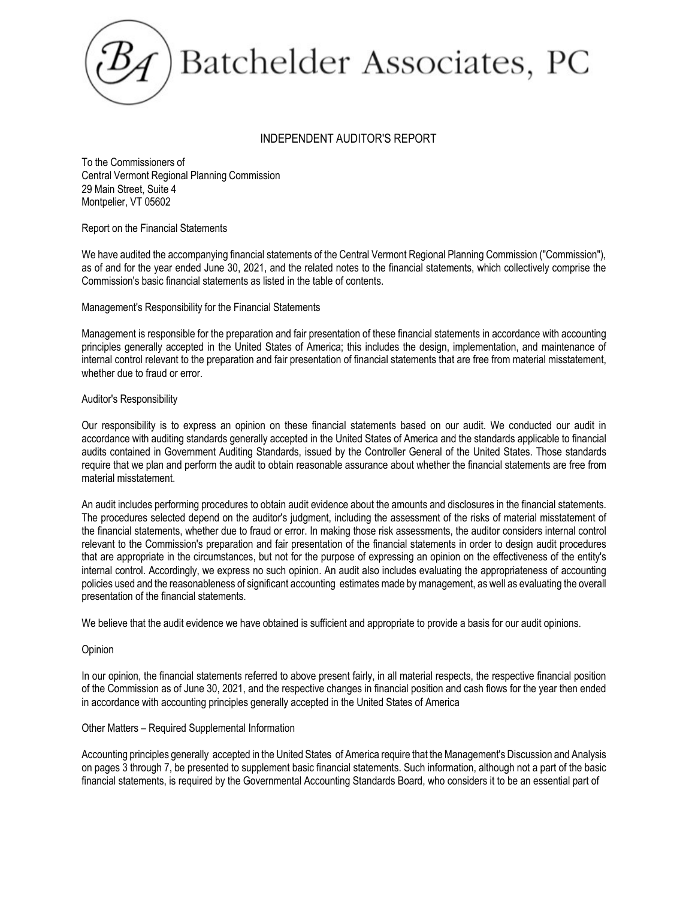# Batchelder Associates, PC

## INDEPENDENT AUDITOR'S REPORT

To the Commissioners of Central Vermont Regional Planning Commission 29 Main Street, Suite 4 Montpelier, VT 05602

#### Report on the Financial Statements

We have audited the accompanying financial statements of the Central Vermont Regional Planning Commission ("Commission"), as of and for the year ended June 30, 2021, and the related notes to the financial statements, which collectively comprise the Commission's basic financial statements as listed in the table of contents.

#### Management's Responsibility for the Financial Statements

Management is responsible for the preparation and fair presentation of these financial statements in accordance with accounting principles generally accepted in the United States of America; this includes the design, implementation, and maintenance of internal control relevant to the preparation and fair presentation of financial statements that are free from material misstatement, whether due to fraud or error.

#### Auditor's Responsibility

Our responsibility is to express an opinion on these financial statements based on our audit. We conducted our audit in accordance with auditing standards generally accepted in the United States of America and the standards applicable to financial audits contained in Government Auditing Standards, issued by the Controller General of the United States. Those standards require that we plan and perform the audit to obtain reasonable assurance about whether the financial statements are free from material misstatement.

An audit includes performing procedures to obtain audit evidence about the amounts and disclosures in the financial statements. The procedures selected depend on the auditor's judgment, including the assessment of the risks of material misstatement of the financial statements, whether due to fraud or error. In making those risk assessments, the auditor considers internal control relevant to the Commission's preparation and fair presentation of the financial statements in order to design audit procedures that are appropriate in the circumstances, but not for the purpose of expressing an opinion on the effectiveness of the entity's internal control. Accordingly, we express no such opinion. An audit also includes evaluating the appropriateness of accounting policies used and the reasonableness of significant accounting estimates made by management, as well as evaluating the overall presentation of the financial statements.

We believe that the audit evidence we have obtained is sufficient and appropriate to provide a basis for our audit opinions.

#### Opinion

In our opinion, the financial statements referred to above present fairly, in all material respects, the respective financial position of the Commission as of June 30, 2021, and the respective changes in financial position and cash flows for the year then ended in accordance with accounting principles generally accepted in the United States of America

## Other Matters – Required Supplemental Information

Accounting principles generally accepted in the United States of America require that the Management's Discussion and Analysis on pages 3 through 7, be presented to supplement basic financial statements. Such information, although not a part of the basic financial statements, is required by the Governmental Accounting Standards Board, who considers it to be an essential part of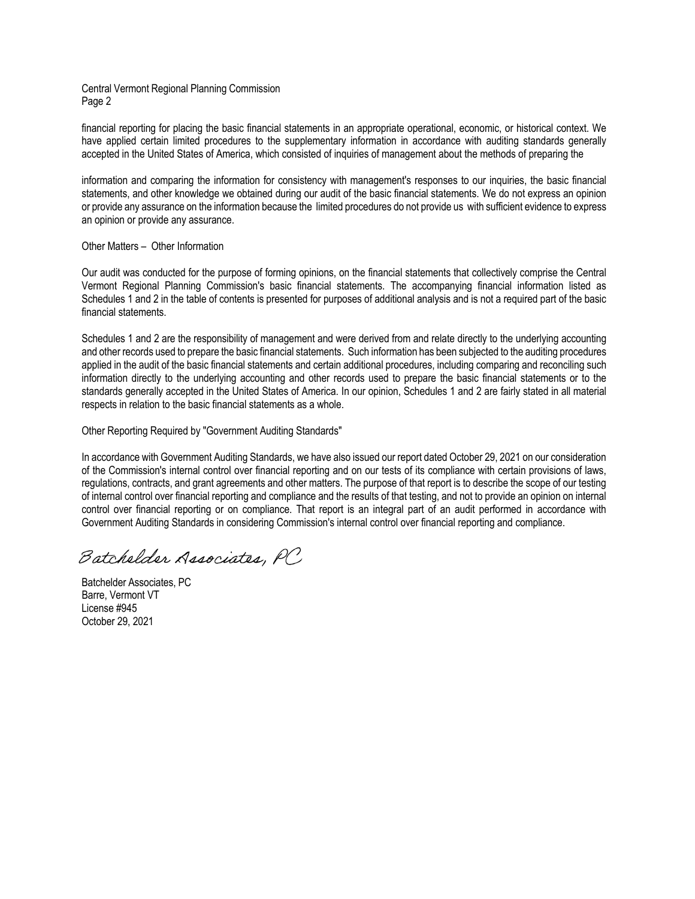#### Central Vermont Regional Planning Commission Page 2

financial reporting for placing the basic financial statements in an appropriate operational, economic, or historical context. We have applied certain limited procedures to the supplementary information in accordance with auditing standards generally accepted in the United States of America, which consisted of inquiries of management about the methods of preparing the

information and comparing the information for consistency with management's responses to our inquiries, the basic financial statements, and other knowledge we obtained during our audit of the basic financial statements. We do not express an opinion or provide any assurance on the information because the limited procedures do not provide us with sufficient evidence to express an opinion or provide any assurance.

#### Other Matters – Other Information

Our audit was conducted for the purpose of forming opinions, on the financial statements that collectively comprise the Central Vermont Regional Planning Commission's basic financial statements. The accompanying financial information listed as Schedules 1 and 2 in the table of contents is presented for purposes of additional analysis and is not a required part of the basic financial statements.

Schedules 1 and 2 are the responsibility of management and were derived from and relate directly to the underlying accounting and other records used to prepare the basic financial statements. Such information has been subjected to the auditing procedures applied in the audit of the basic financial statements and certain additional procedures, including comparing and reconciling such information directly to the underlying accounting and other records used to prepare the basic financial statements or to the standards generally accepted in the United States of America. In our opinion, Schedules 1 and 2 are fairly stated in all material respects in relation to the basic financial statements as a whole.

Other Reporting Required by "Government Auditing Standards"

In accordance with Government Auditing Standards, we have also issued our report dated October 29, 2021 on our consideration of the Commission's internal control over financial reporting and on our tests of its compliance with certain provisions of laws, regulations, contracts, and grant agreements and other matters. The purpose of that report is to describe the scope of our testing of internal control over financial reporting and compliance and the results of that testing, and not to provide an opinion on internal control over financial reporting or on compliance. That report is an integral part of an audit performed in accordance with Government Auditing Standards in considering Commission's internal control over financial reporting and compliance.

Batchelder Associates, PC

Batchelder Associates, PC Barre, Vermont VT License #945 October 29, 2021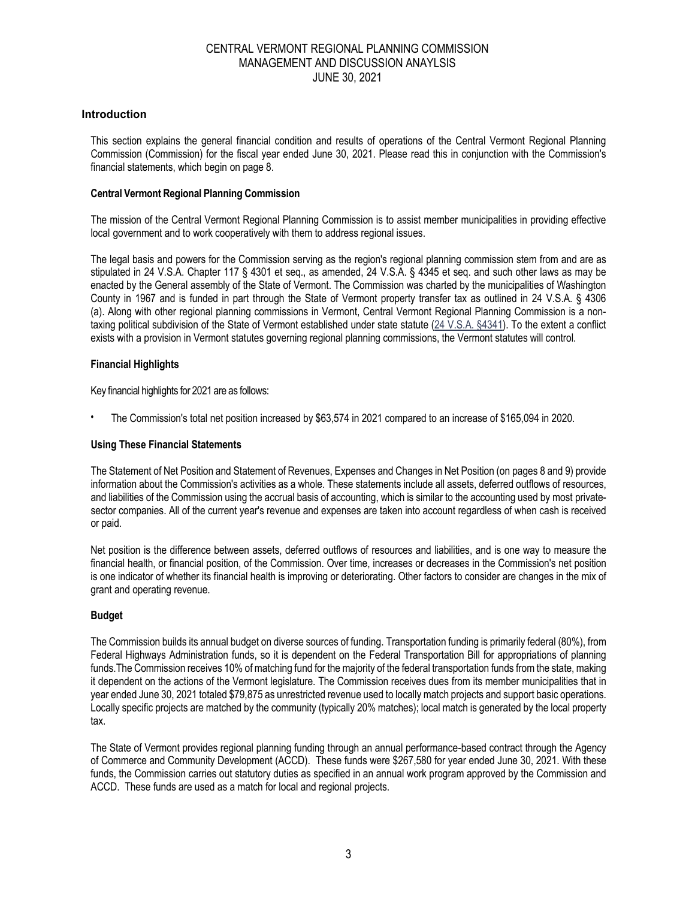#### **Introduction**

This section explains the general financial condition and results of operations of the Central Vermont Regional Planning Commission (Commission) for the fiscal year ended June 30, 2021. Please read this in conjunction with the Commission's financial statements, which begin on page 8.

#### **Central Vermont Regional Planning Commission**

The mission of the Central Vermont Regional Planning Commission is to assist member municipalities in providing effective local government and to work cooperatively with them to address regional issues.

The legal basis and powers for the Commission serving as the region's regional planning commission stem from and are as stipulated in 24 V.S.A. Chapter 117 § 4301 et seq., as amended, 24 V.S.A. § 4345 et seq. and such other laws as may be enacted by the General assembly of the State of Vermont. The Commission was charted by the municipalities of Washington County in 1967 and is funded in part through the State of Vermont property transfer tax as outlined in 24 V.S.A. § 4306 (a). Along with other regional planning commissions in Vermont, Central Vermont Regional Planning Commission is a nontaxing political subdivision of the State of Vermont established under state statute (24 V.S.A. §4341). To the extent a conflict exists with a provision in Vermont statutes governing regional planning commissions, the Vermont statutes will control.

#### **Financial Highlights**

Key financial highlights for 2021 are as follows:

• The Commission's total net position increased by \$63,574 in 2021 compared to an increase of \$165,094 in 2020.

#### **Using These Financial Statements**

The Statement of Net Position and Statement of Revenues, Expenses and Changes in Net Position (on pages 8 and 9) provide information about the Commission's activities as a whole. These statements include all assets, deferred outflows of resources, and liabilities of the Commission using the accrual basis of accounting, which is similar to the accounting used by most privatesector companies. All of the current year's revenue and expenses are taken into account regardless of when cash is received or paid.

Net position is the difference between assets, deferred outflows of resources and liabilities, and is one way to measure the financial health, or financial position, of the Commission. Over time, increases or decreases in the Commission's net position is one indicator of whether its financial health is improving or deteriorating. Other factors to consider are changes in the mix of grant and operating revenue.

## **Budget**

The Commission builds its annual budget on diverse sources of funding. Transportation funding is primarily federal (80%), from Federal Highways Administration funds, so it is dependent on the Federal Transportation Bill for appropriations of planning funds.The Commission receives 10% of matching fund for the majority of the federal transportation funds from the state, making it dependent on the actions of the Vermont legislature. The Commission receives dues from its member municipalities that in year ended June 30, 2021 totaled \$79,875 as unrestricted revenue used to locally match projects and support basic operations. Locally specific projects are matched by the community (typically 20% matches); local match is generated by the local property tax.

The State of Vermont provides regional planning funding through an annual performance-based contract through the Agency of Commerce and Community Development (ACCD). These funds were \$267,580 for year ended June 30, 2021. With these funds, the Commission carries out statutory duties as specified in an annual work program approved by the Commission and ACCD. These funds are used as a match for local and regional projects.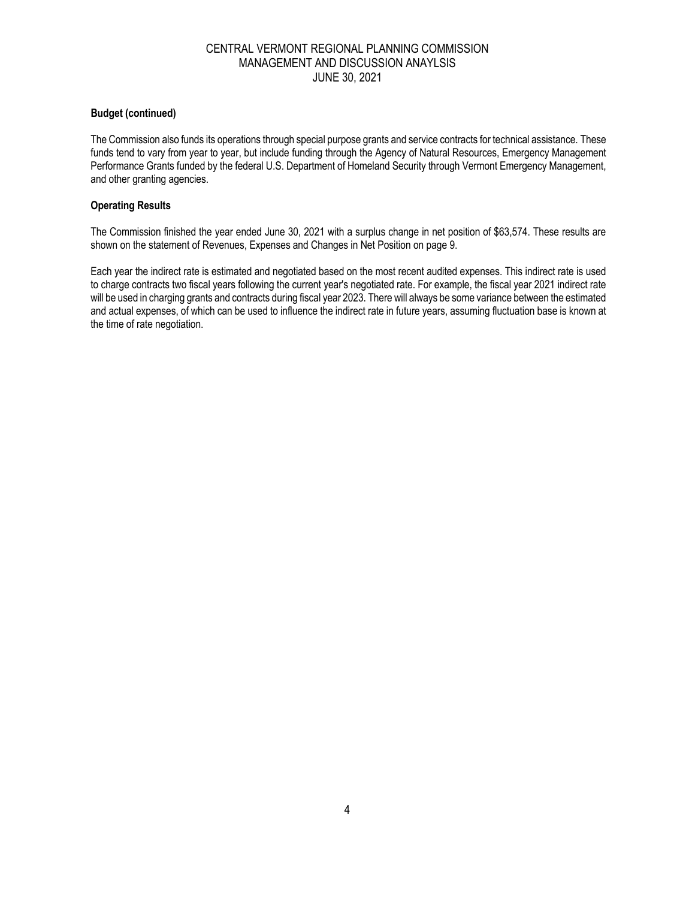#### **Budget (continued)**

The Commission also funds its operations through special purpose grants and service contracts for technical assistance. These funds tend to vary from year to year, but include funding through the Agency of Natural Resources, Emergency Management Performance Grants funded by the federal U.S. Department of Homeland Security through Vermont Emergency Management, and other granting agencies.

#### **Operating Results**

The Commission finished the year ended June 30, 2021 with a surplus change in net position of \$63,574. These results are shown on the statement of Revenues, Expenses and Changes in Net Position on page 9.

Each year the indirect rate is estimated and negotiated based on the most recent audited expenses. This indirect rate is used to charge contracts two fiscal years following the current year's negotiated rate. For example, the fiscal year 2021 indirect rate will be used in charging grants and contracts during fiscal year 2023. There will always be some variance between the estimated and actual expenses, of which can be used to influence the indirect rate in future years, assuming fluctuation base is known at the time of rate negotiation.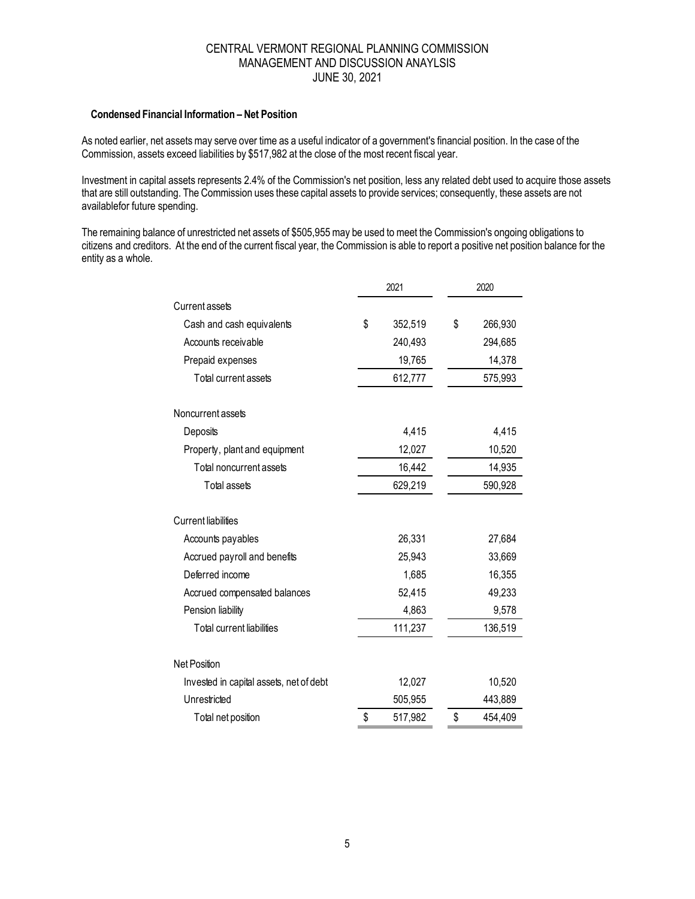#### **Condensed Financial Information – Net Position**

As noted earlier, net assets may serve over time as a useful indicator of a government's financial position. In the case of the Commission, assets exceed liabilities by \$517,982 at the close of the most recent fiscal year.

Investment in capital assets represents 2.4% of the Commission's net position, less any related debt used to acquire those assets that are still outstanding. The Commission uses these capital assets to provide services; consequently, these assets are not availablefor future spending.

The remaining balance of unrestricted net assets of \$505,955 may be used to meet the Commission's ongoing obligations to citizens and creditors. At the end of the current fiscal year, the Commission is able to report a positive net position balance for the entity as a whole.

|                                         | 2021          |    | 2020    |  |
|-----------------------------------------|---------------|----|---------|--|
| Current assets                          |               |    |         |  |
| Cash and cash equivalents               | \$<br>352,519 | \$ | 266,930 |  |
| Accounts receivable                     | 240,493       |    | 294,685 |  |
| Prepaid expenses                        | 19,765        |    | 14,378  |  |
| Total current assets                    | 612,777       |    | 575,993 |  |
| Noncurrent assets                       |               |    |         |  |
| Deposits                                | 4,415         |    | 4,415   |  |
| Property, plant and equipment           | 12,027        |    | 10,520  |  |
| Total noncurrent assets                 | 16,442        |    | 14,935  |  |
| Total assets                            | 629,219       |    | 590,928 |  |
| <b>Current liabilities</b>              |               |    |         |  |
| Accounts payables                       | 26,331        |    | 27,684  |  |
| Accrued payroll and benefits            | 25,943        |    | 33,669  |  |
| Deferred income                         | 1,685         |    | 16,355  |  |
| Accrued compensated balances            | 52,415        |    | 49,233  |  |
| Pension liability                       | 4,863         |    | 9,578   |  |
| Total current liabilities               | 111,237       |    | 136,519 |  |
| <b>Net Position</b>                     |               |    |         |  |
| Invested in capital assets, net of debt | 12,027        |    | 10,520  |  |
| Unrestricted                            | 505,955       |    | 443,889 |  |
| Total net position                      | \$<br>517,982 | \$ | 454,409 |  |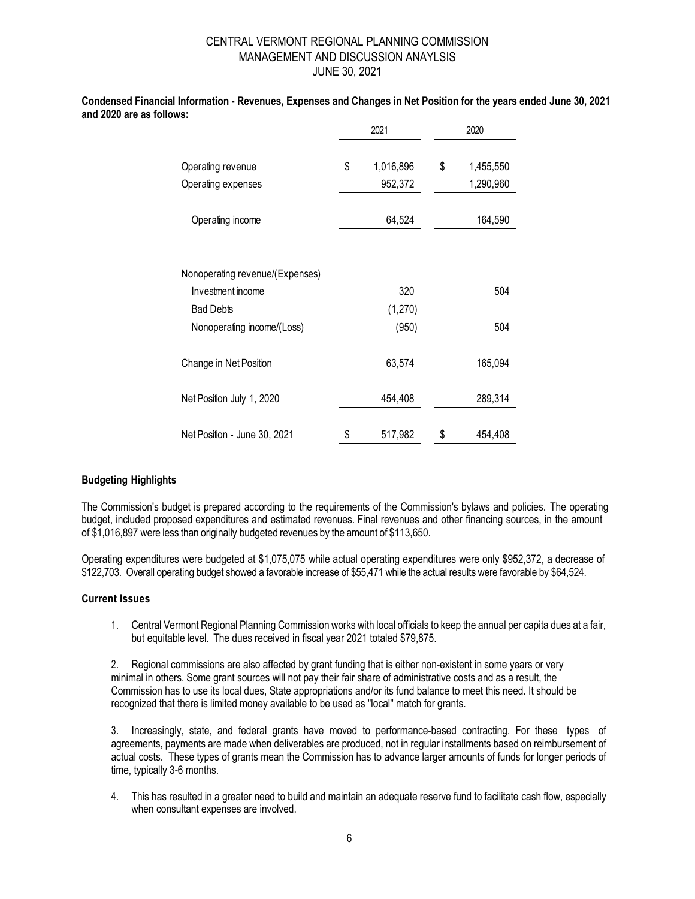| uws.                            | 2021            |    | 2020      |
|---------------------------------|-----------------|----|-----------|
| Operating revenue               | \$<br>1,016,896 | \$ | 1,455,550 |
| Operating expenses              | 952,372         |    | 1,290,960 |
| Operating income                | 64,524          |    | 164,590   |
| Nonoperating revenue/(Expenses) |                 |    |           |
| Investment income               | 320             |    | 504       |
| <b>Bad Debts</b>                | (1,270)         |    |           |
| Nonoperating income/(Loss)      | (950)           |    | 504       |
| Change in Net Position          | 63,574          |    | 165,094   |
| Net Position July 1, 2020       | 454,408         |    | 289,314   |
| Net Position - June 30, 2021    | \$<br>517,982   | \$ | 454,408   |

#### **Condensed Financial Information - Revenues, Expenses and Changes in Net Position for the years ended June 30, 2021 and 2020 are as follows:**

## **Budgeting Highlights**

The Commission's budget is prepared according to the requirements of the Commission's bylaws and policies. The operating budget, included proposed expenditures and estimated revenues. Final revenues and other financing sources, in the amount of \$1,016,897 were less than originally budgeted revenues by the amount of \$113,650.

Operating expenditures were budgeted at \$1,075,075 while actual operating expenditures were only \$952,372, a decrease of \$122,703. Overall operating budget showed a favorable increase of \$55,471 while the actual results were favorable by \$64,524.

#### **Current Issues**

1. Central Vermont Regional Planning Commission works with local officials to keep the annual per capita dues at a fair, but equitable level. The dues received in fiscal year 2021 totaled \$79,875.

2. Regional commissions are also affected by grant funding that is either non-existent in some years or very minimal in others. Some grant sources will not pay their fair share of administrative costs and as a result, the Commission has to use its local dues, State appropriations and/or its fund balance to meet this need. It should be recognized that there is limited money available to be used as "local" match for grants.

3. Increasingly, state, and federal grants have moved to performance-based contracting. For these types of agreements, payments are made when deliverables are produced, not in regular installments based on reimbursement of actual costs. These types of grants mean the Commission has to advance larger amounts of funds for longer periods of time, typically 3-6 months.

4. This has resulted in a greater need to build and maintain an adequate reserve fund to facilitate cash flow, especially when consultant expenses are involved.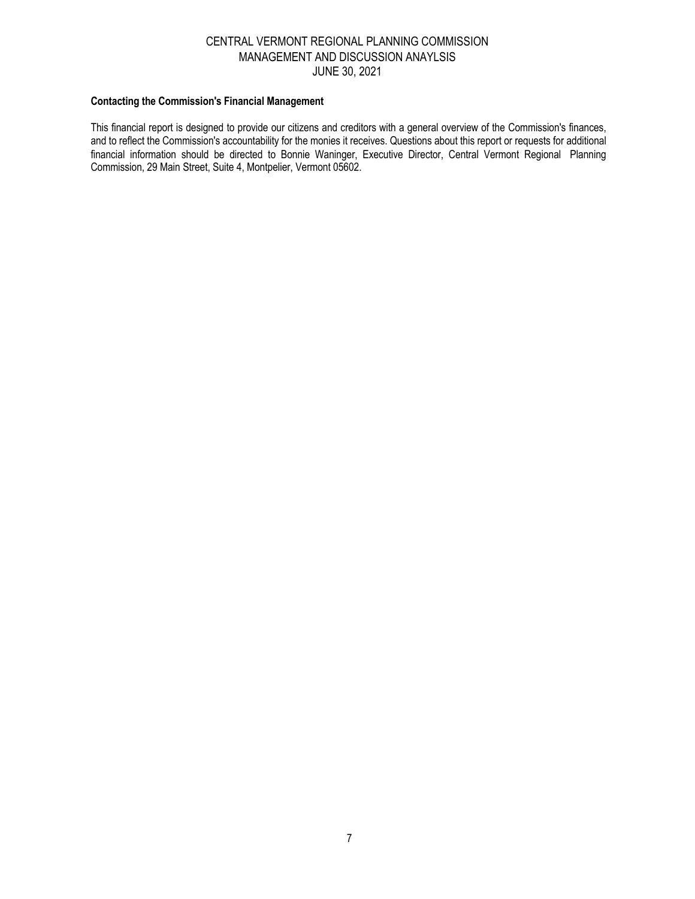#### **Contacting the Commission's Financial Management**

This financial report is designed to provide our citizens and creditors with a general overview of the Commission's finances, and to reflect the Commission's accountability for the monies it receives. Questions about this report or requests for additional financial information should be directed to Bonnie Waninger, Executive Director, Central Vermont Regional Planning Commission, 29 Main Street, Suite 4, Montpelier, Vermont 05602.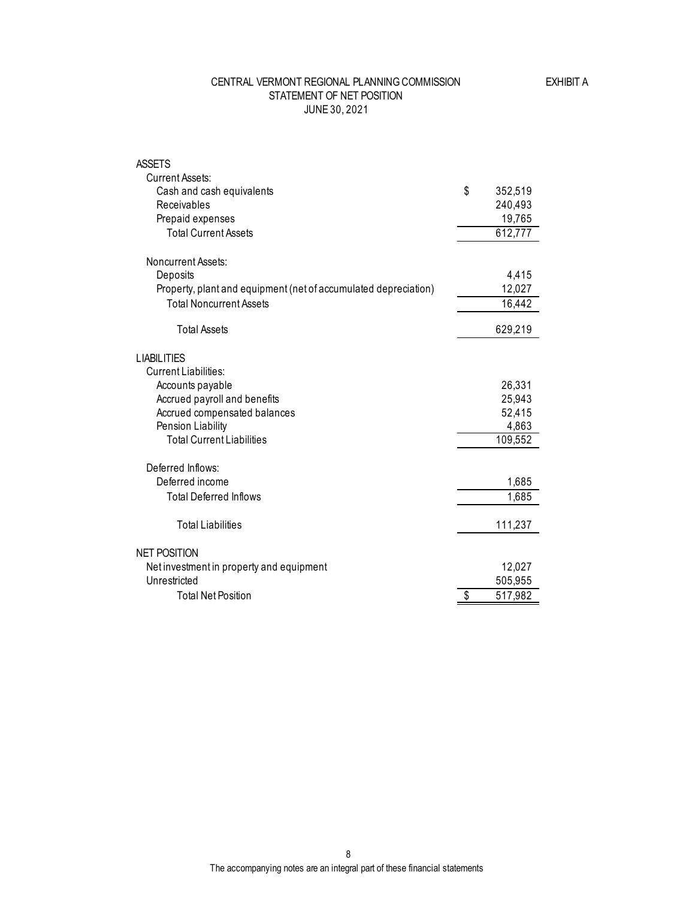### STATEMENT OF NET POSITION JUNE 30, 2021 CENTRAL VERMONT REGIONAL PLANNING COMMISSION

| <b>ASSETS</b><br><b>Current Assets:</b>                         |               |
|-----------------------------------------------------------------|---------------|
| Cash and cash equivalents                                       | \$<br>352,519 |
| Receivables                                                     | 240,493       |
| Prepaid expenses                                                | 19,765        |
| <b>Total Current Assets</b>                                     | 612,777       |
| Noncurrent Assets:                                              |               |
| Deposits                                                        | 4,415         |
| Property, plant and equipment (net of accumulated depreciation) | 12,027        |
| <b>Total Noncurrent Assets</b>                                  | 16,442        |
| <b>Total Assets</b>                                             | 629,219       |
| <b>LIABILITIES</b>                                              |               |
| Current Liabilities:                                            |               |
| Accounts payable                                                | 26,331        |
| Accrued payroll and benefits                                    | 25,943        |
| Accrued compensated balances                                    | 52,415        |
| Pension Liability                                               | 4,863         |
| <b>Total Current Liabilities</b>                                | 109,552       |
| Deferred Inflows:                                               |               |
| Deferred income                                                 | 1,685         |
| <b>Total Deferred Inflows</b>                                   | 1,685         |
| <b>Total Liabilities</b>                                        | 111,237       |
| <b>NET POSITION</b>                                             |               |
| Net investment in property and equipment                        | 12,027        |
| Unrestricted                                                    | 505,955       |
| <b>Total Net Position</b>                                       | \$<br>517,982 |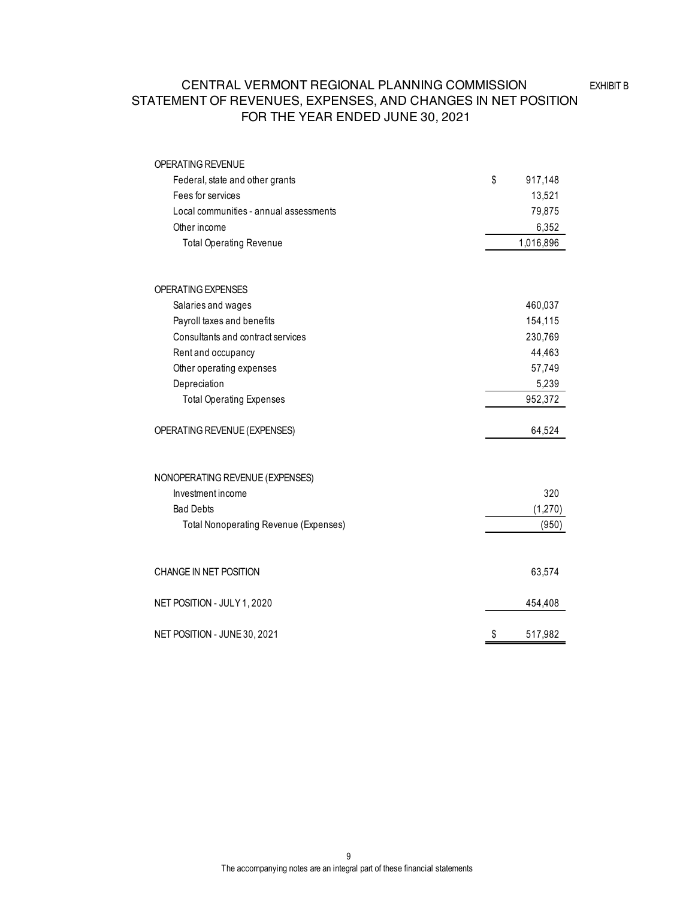## STATEMENT OF REVENUES, EXPENSES, AND CHANGES IN NET POSITION FOR THE YEAR ENDED JUNE 30, 2021 CENTRAL VERMONT REGIONAL PLANNING COMMISSION

| OPERATING REVENUE                            |               |
|----------------------------------------------|---------------|
| Federal, state and other grants              | \$<br>917,148 |
| Fees for services                            | 13,521        |
| Local communities - annual assessments       | 79,875        |
| Other income                                 | 6,352         |
| <b>Total Operating Revenue</b>               | 1,016,896     |
|                                              |               |
| <b>OPERATING EXPENSES</b>                    |               |
| Salaries and wages                           | 460,037       |
| Payroll taxes and benefits                   | 154,115       |
| Consultants and contract services            | 230,769       |
| Rent and occupancy                           | 44,463        |
| Other operating expenses                     | 57,749        |
| Depreciation                                 | 5,239         |
| <b>Total Operating Expenses</b>              | 952,372       |
| OPERATING REVENUE (EXPENSES)                 | 64,524        |
| NONOPERATING REVENUE (EXPENSES)              |               |
| Investment income                            | 320           |
| <b>Bad Debts</b>                             | (1,270)       |
| <b>Total Nonoperating Revenue (Expenses)</b> | (950)         |
| CHANGE IN NET POSITION                       | 63,574        |
| NET POSITION - JULY 1, 2020                  | 454,408       |
| NET POSITION - JUNE 30, 2021                 | \$<br>517,982 |

EXHIBIT B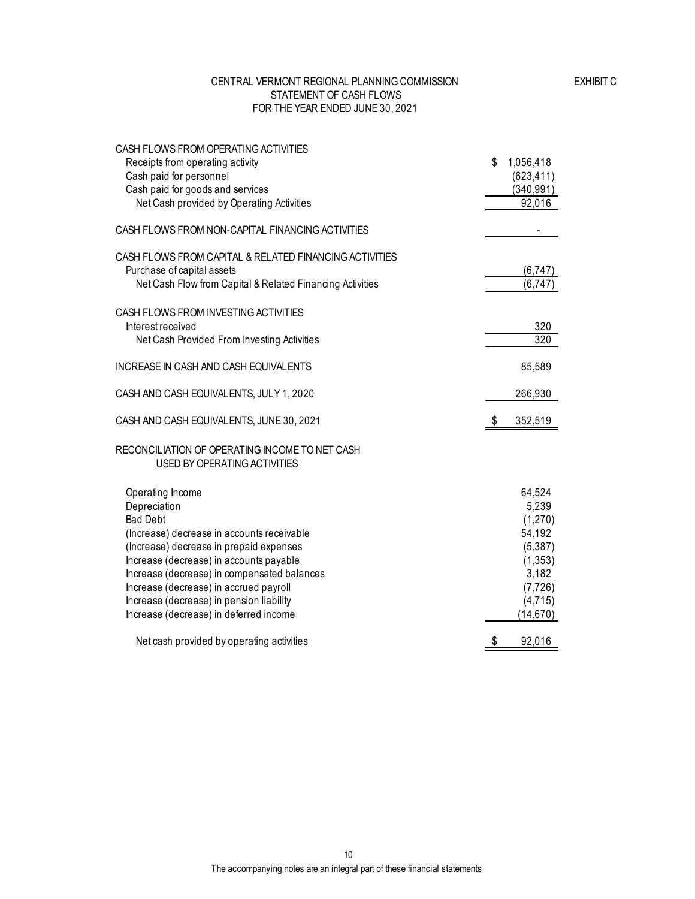#### CENTRAL VERMONT REGIONAL PLANNING COMMISSION STATEMENT OF CASH FLOWS FOR THE YEAR ENDED JUNE 30, 2021

| CASH FLOWS FROM OPERATING ACTIVITIES                                                  |                 |
|---------------------------------------------------------------------------------------|-----------------|
| Receipts from operating activity                                                      | \$<br>1,056,418 |
| Cash paid for personnel                                                               | (623, 411)      |
| Cash paid for goods and services                                                      | (340, 991)      |
| Net Cash provided by Operating Activities                                             | 92,016          |
| CASH FLOWS FROM NON-CAPITAL FINANCING ACTIVITIES                                      |                 |
| CASH FLOWS FROM CAPITAL & RELATED FINANCING ACTIVITIES                                |                 |
| Purchase of capital assets                                                            | (6,747)         |
| Net Cash Flow from Capital & Related Financing Activities                             | (6,747)         |
| CASH FLOWS FROM INVESTING ACTIVITIES                                                  |                 |
| Interest received                                                                     | 320             |
| Net Cash Provided From Investing Activities                                           | 320             |
| INCREASE IN CASH AND CASH EQUIVALENTS                                                 | 85,589          |
|                                                                                       |                 |
| CASH AND CASH EQUIVALENTS, JULY 1, 2020                                               | 266,930         |
| CASH AND CASH EQUIVALENTS, JUNE 30, 2021                                              | 352,519<br>\$   |
| RECONCILIATION OF OPERATING INCOME TO NET CASH<br><b>USED BY OPERATING ACTIVITIES</b> |                 |
| Operating Income                                                                      | 64,524          |
| Depreciation                                                                          | 5,239           |
| <b>Bad Debt</b>                                                                       | (1,270)         |
| (Increase) decrease in accounts receivable                                            | 54,192          |
| (Increase) decrease in prepaid expenses                                               | (5,387)         |
| Increase (decrease) in accounts payable                                               | (1,353)         |
| Increase (decrease) in compensated balances                                           | 3,182           |
| Increase (decrease) in accrued payroll                                                | (7, 726)        |
| Increase (decrease) in pension liability                                              | (4,715)         |
| Increase (decrease) in deferred income                                                | (14, 670)       |
| Net cash provided by operating activities                                             | \$<br>92,016    |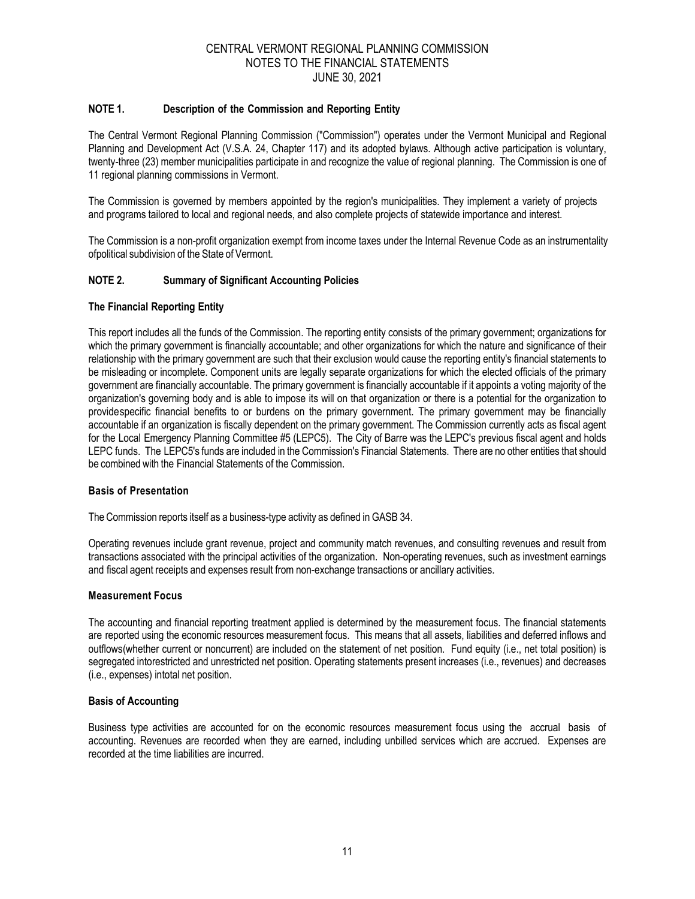#### **NOTE 1. Description of the Commission and Reporting Entity**

The Central Vermont Regional Planning Commission ("Commission") operates under the Vermont Municipal and Regional Planning and Development Act (V.S.A. 24, Chapter 117) and its adopted bylaws. Although active participation is voluntary, twenty-three (23) member municipalities participate in and recognize the value of regional planning. The Commission is one of 11 regional planning commissions in Vermont.

The Commission is governed by members appointed by the region's municipalities. They implement a variety of projects and programs tailored to local and regional needs, and also complete projects of statewide importance and interest.

The Commission is a non-profit organization exempt from income taxes under the Internal Revenue Code as an instrumentality ofpolitical subdivision of the State of Vermont.

#### **NOTE 2. Summary of Significant Accounting Policies**

#### **The Financial Reporting Entity**

This report includes all the funds of the Commission. The reporting entity consists of the primary government; organizations for which the primary government is financially accountable; and other organizations for which the nature and significance of their relationship with the primary government are such that their exclusion would cause the reporting entity's financial statements to be misleading or incomplete. Component units are legally separate organizations for which the elected officials of the primary government are financially accountable. The primary government is financially accountable if it appoints a voting majority of the organization's governing body and is able to impose its will on that organization or there is a potential for the organization to providespecific financial benefits to or burdens on the primary government. The primary government may be financially accountable if an organization is fiscally dependent on the primary government. The Commission currently acts as fiscal agent for the Local Emergency Planning Committee #5 (LEPC5). The City of Barre was the LEPC's previous fiscal agent and holds LEPC funds. The LEPC5's funds are included in the Commission's Financial Statements. There are no other entities that should be combined with the Financial Statements of the Commission.

#### **Basis of Presentation**

The Commission reports itself as a business-type activity as defined in GASB 34.

Operating revenues include grant revenue, project and community match revenues, and consulting revenues and result from transactions associated with the principal activities of the organization. Non-operating revenues, such as investment earnings and fiscal agent receipts and expenses result from non-exchange transactions or ancillary activities.

#### **Measurement Focus**

The accounting and financial reporting treatment applied is determined by the measurement focus. The financial statements are reported using the economic resources measurement focus. This means that all assets, liabilities and deferred inflows and outflows(whether current or noncurrent) are included on the statement of net position. Fund equity (i.e., net total position) is segregated intorestricted and unrestricted net position. Operating statements present increases (i.e., revenues) and decreases (i.e., expenses) intotal net position.

#### **Basis of Accounting**

Business type activities are accounted for on the economic resources measurement focus using the accrual basis of accounting. Revenues are recorded when they are earned, including unbilled services which are accrued. Expenses are recorded at the time liabilities are incurred.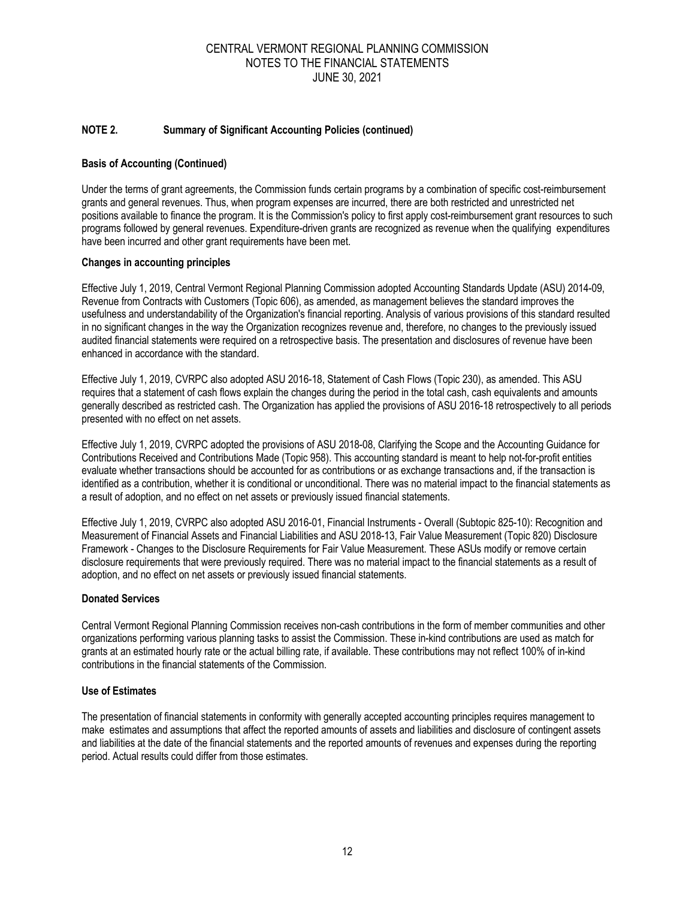#### **NOTE 2. Summary of Significant Accounting Policies (continued)**

#### **Basis of Accounting (Continued)**

Under the terms of grant agreements, the Commission funds certain programs by a combination of specific cost-reimbursement grants and general revenues. Thus, when program expenses are incurred, there are both restricted and unrestricted net positions available to finance the program. It is the Commission's policy to first apply cost-reimbursement grant resources to such programs followed by general revenues. Expenditure-driven grants are recognized as revenue when the qualifying expenditures have been incurred and other grant requirements have been met.

#### **Changes in accounting principles**

Effective July 1, 2019, Central Vermont Regional Planning Commission adopted Accounting Standards Update (ASU) 2014-09, Revenue from Contracts with Customers (Topic 606), as amended, as management believes the standard improves the usefulness and understandability of the Organization's financial reporting. Analysis of various provisions of this standard resulted in no significant changes in the way the Organization recognizes revenue and, therefore, no changes to the previously issued audited financial statements were required on a retrospective basis. The presentation and disclosures of revenue have been enhanced in accordance with the standard.

Effective July 1, 2019, CVRPC also adopted ASU 2016-18, Statement of Cash Flows (Topic 230), as amended. This ASU requires that a statement of cash flows explain the changes during the period in the total cash, cash equivalents and amounts generally described as restricted cash. The Organization has applied the provisions of ASU 2016-18 retrospectively to all periods presented with no effect on net assets.

Effective July 1, 2019, CVRPC adopted the provisions of ASU 2018-08, Clarifying the Scope and the Accounting Guidance for Contributions Received and Contributions Made (Topic 958). This accounting standard is meant to help not-for-profit entities evaluate whether transactions should be accounted for as contributions or as exchange transactions and, if the transaction is identified as a contribution, whether it is conditional or unconditional. There was no material impact to the financial statements as a result of adoption, and no effect on net assets or previously issued financial statements.

Effective July 1, 2019, CVRPC also adopted ASU 2016-01, Financial Instruments - Overall (Subtopic 825-10): Recognition and Measurement of Financial Assets and Financial Liabilities and ASU 2018-13, Fair Value Measurement (Topic 820) Disclosure Framework - Changes to the Disclosure Requirements for Fair Value Measurement. These ASUs modify or remove certain disclosure requirements that were previously required. There was no material impact to the financial statements as a result of adoption, and no effect on net assets or previously issued financial statements.

#### **Donated Services**

Central Vermont Regional Planning Commission receives non-cash contributions in the form of member communities and other organizations performing various planning tasks to assist the Commission. These in-kind contributions are used as match for grants at an estimated hourly rate or the actual billing rate, if available. These contributions may not reflect 100% of in-kind contributions in the financial statements of the Commission.

#### **Use of Estimates**

The presentation of financial statements in conformity with generally accepted accounting principles requires management to make estimates and assumptions that affect the reported amounts of assets and liabilities and disclosure of contingent assets and liabilities at the date of the financial statements and the reported amounts of revenues and expenses during the reporting period. Actual results could differ from those estimates.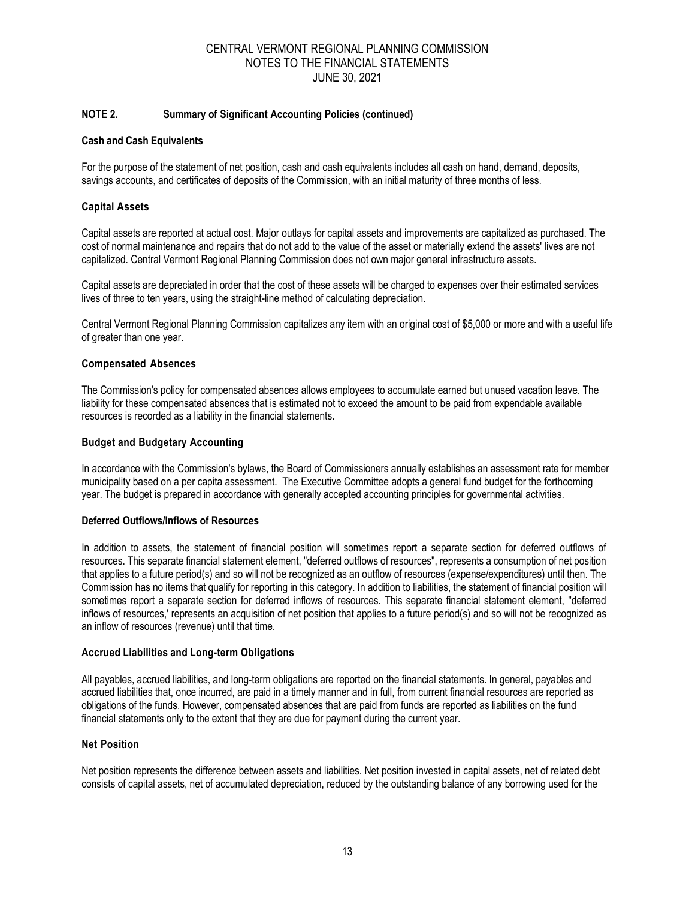#### **NOTE 2. Summary of Significant Accounting Policies (continued)**

#### **Cash and Cash Equivalents**

For the purpose of the statement of net position, cash and cash equivalents includes all cash on hand, demand, deposits, savings accounts, and certificates of deposits of the Commission, with an initial maturity of three months of less.

#### **Capital Assets**

Capital assets are reported at actual cost. Major outlays for capital assets and improvements are capitalized as purchased. The cost of normal maintenance and repairs that do not add to the value of the asset or materially extend the assets' lives are not capitalized. Central Vermont Regional Planning Commission does not own major general infrastructure assets.

Capital assets are depreciated in order that the cost of these assets will be charged to expenses over their estimated services lives of three to ten years, using the straight-line method of calculating depreciation.

Central Vermont Regional Planning Commission capitalizes any item with an original cost of \$5,000 or more and with a useful life of greater than one year.

#### **Compensated Absences**

The Commission's policy for compensated absences allows employees to accumulate earned but unused vacation leave. The liability for these compensated absences that is estimated not to exceed the amount to be paid from expendable available resources is recorded as a liability in the financial statements.

#### **Budget and Budgetary Accounting**

In accordance with the Commission's bylaws, the Board of Commissioners annually establishes an assessment rate for member municipality based on a per capita assessment. The Executive Committee adopts a general fund budget for the forthcoming year. The budget is prepared in accordance with generally accepted accounting principles for governmental activities.

#### **Deferred Outflows/Inflows of Resources**

In addition to assets, the statement of financial position will sometimes report a separate section for deferred outflows of resources. This separate financial statement element, "deferred outflows of resources", represents a consumption of net position that applies to a future period(s) and so will not be recognized as an outflow of resources (expense/expenditures) until then. The Commission has no items that qualify for reporting in this category. In addition to liabilities, the statement of financial position will sometimes report a separate section for deferred inflows of resources. This separate financial statement element, "deferred inflows of resources,' represents an acquisition of net position that applies to a future period(s) and so will not be recognized as an inflow of resources (revenue) until that time.

#### **Accrued Liabilities and Long-term Obligations**

All payables, accrued liabilities, and long-term obligations are reported on the financial statements. In general, payables and accrued liabilities that, once incurred, are paid in a timely manner and in full, from current financial resources are reported as obligations of the funds. However, compensated absences that are paid from funds are reported as liabilities on the fund financial statements only to the extent that they are due for payment during the current year.

#### **Net Position**

Net position represents the difference between assets and liabilities. Net position invested in capital assets, net of related debt consists of capital assets, net of accumulated depreciation, reduced by the outstanding balance of any borrowing used for the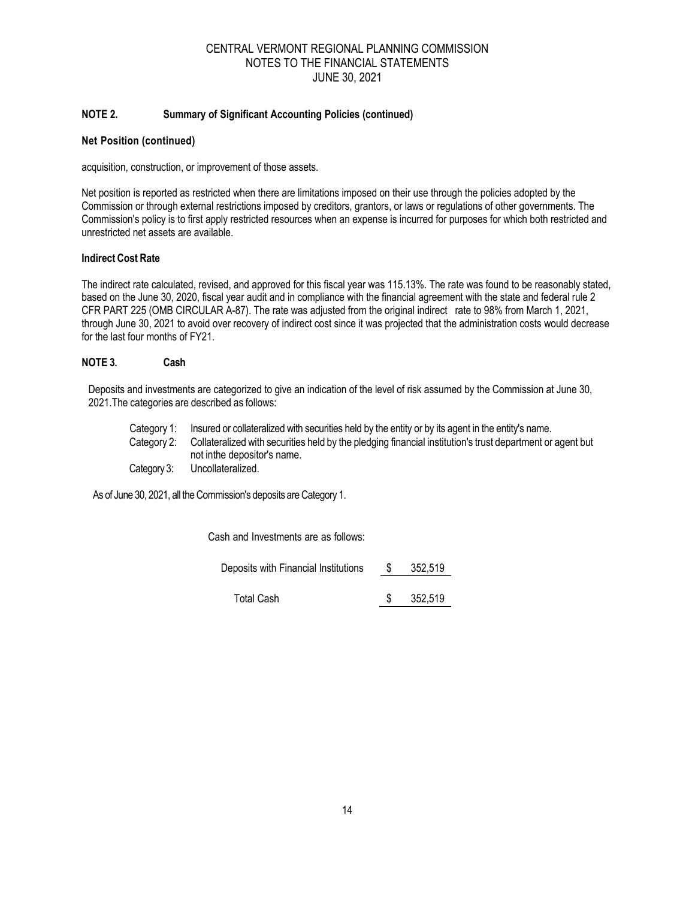#### **NOTE 2. Summary of Significant Accounting Policies (continued)**

#### **Net Position (continued)**

acquisition, construction, or improvement of those assets.

Net position is reported as restricted when there are limitations imposed on their use through the policies adopted by the Commission or through external restrictions imposed by creditors, grantors, or laws or regulations of other governments. The Commission's policy is to first apply restricted resources when an expense is incurred for purposes for which both restricted and unrestricted net assets are available.

#### **Indirect Cost Rate**

The indirect rate calculated, revised, and approved for this fiscal year was 115.13%. The rate was found to be reasonably stated, based on the June 30, 2020, fiscal year audit and in compliance with the financial agreement with the state and federal rule 2 CFR PART 225 (OMB CIRCULAR A-87). The rate was adjusted from the original indirect rate to 98% from March 1, 2021, through June 30, 2021 to avoid over recovery of indirect cost since it was projected that the administration costs would decrease for the last four months of FY21.

#### **NOTE 3. Cash**

Deposits and investments are categorized to give an indication of the level of risk assumed by the Commission at June 30, 2021.The categories are described as follows:

Category 1: Insured or collateralized with securities held by the entity or by its agent in the entity's name. Category 2: Collateralized with securities held by the pledging financial institution's trust department or agent but not inthe depositor's name.

Category 3: Uncollateralized.

As of June 30, 2021, all the Commission's deposits are Category 1.

Cash and Investments are as follows:

Deposits with Financial Institutions  $$352,519$ 

Total Cash  $$352,519$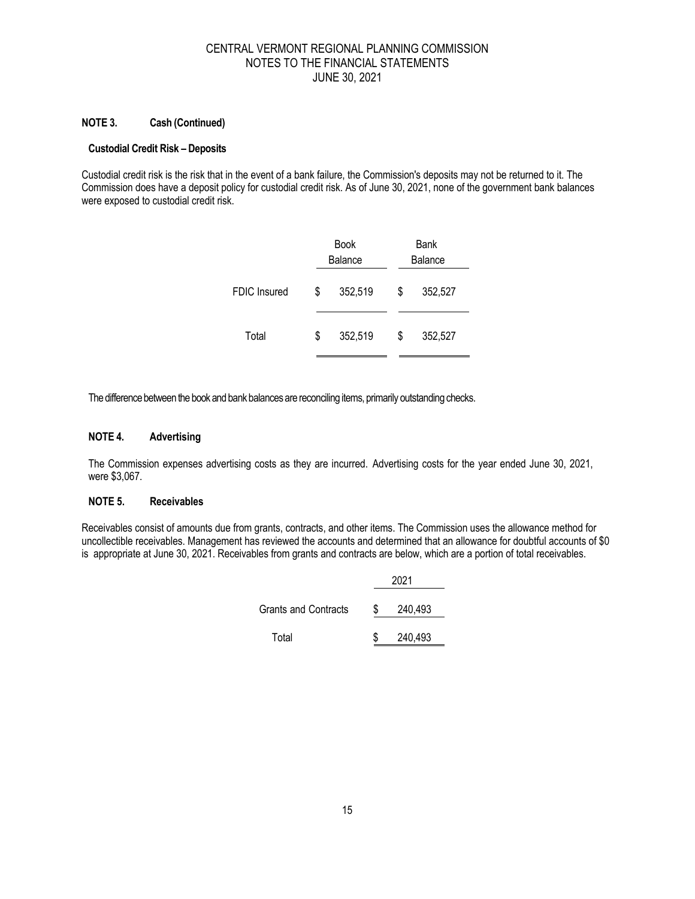#### **NOTE 3. Cash (Continued)**

#### **Custodial Credit Risk – Deposits**

Custodial credit risk is the risk that in the event of a bank failure, the Commission's deposits may not be returned to it. The Commission does have a deposit policy for custodial credit risk. As of June 30, 2021, none of the government bank balances were exposed to custodial credit risk.

|                     |    | <b>Book</b><br>Balance |   | Bank<br><b>Balance</b> |
|---------------------|----|------------------------|---|------------------------|
| <b>FDIC Insured</b> | S. | 352,519                | S | 352,527                |
| Total               | \$ | 352,519                | S | 352,527                |

The difference between the book and bank balances are reconciling items, primarily outstanding checks.

## **NOTE 4. Advertising**

The Commission expenses advertising costs as they are incurred. Advertising costs for the year ended June 30, 2021, were \$3,067.

#### **NOTE 5. Receivables**

Receivables consist of amounts due from grants, contracts, and other items. The Commission uses the allowance method for uncollectible receivables. Management has reviewed the accounts and determined that an allowance for doubtful accounts of \$0 is appropriate at June 30, 2021. Receivables from grants and contracts are below, which are a portion of total receivables.

|                      |   | 2021    |
|----------------------|---|---------|
| Grants and Contracts | S | 240,493 |
| Total                | S | 240,493 |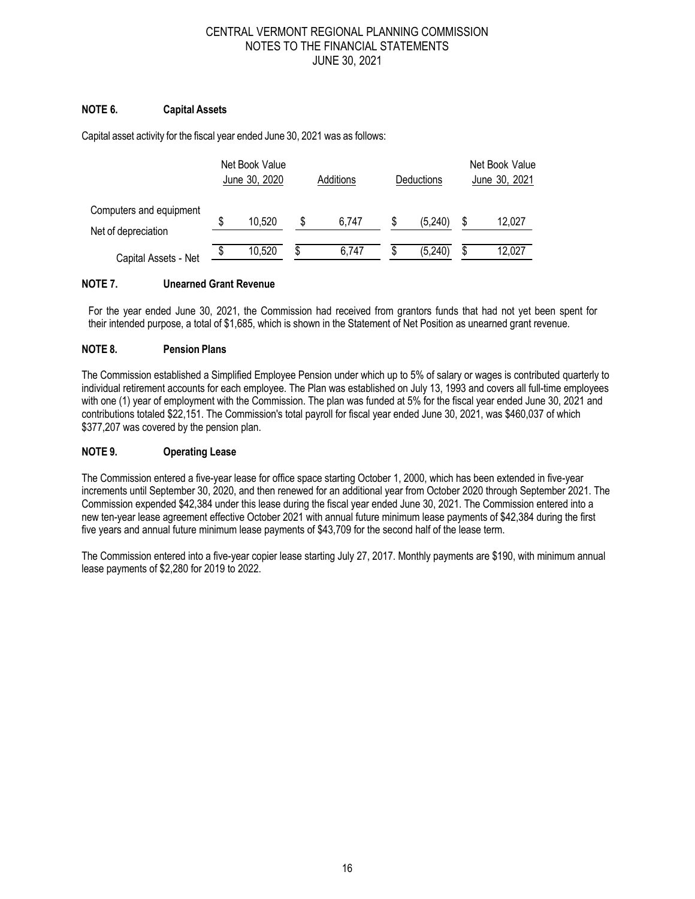## **NOTE 6. Capital Assets**

Capital asset activity for the fiscal year ended June 30, 2021 was as follows:

|                                                | Net Book Value<br>June 30, 2020<br>Additions |        |   | Deductions | Net Book Value<br>June 30, 2021 |    |        |
|------------------------------------------------|----------------------------------------------|--------|---|------------|---------------------------------|----|--------|
| Computers and equipment<br>Net of depreciation | \$                                           | 10,520 | S | 6.747      | (5,240)                         |    | 12,027 |
| Capital Assets - Net                           | \$                                           | 10,520 | S | 6.747      | (5,240)                         | \$ | 12,027 |

#### **NOTE 7. Unearned Grant Revenue**

For the year ended June 30, 2021, the Commission had received from grantors funds that had not yet been spent for their intended purpose, a total of \$1,685, which is shown in the Statement of Net Position as unearned grant revenue.

#### **NOTE 8. Pension Plans**

The Commission established a Simplified Employee Pension under which up to 5% of salary or wages is contributed quarterly to individual retirement accounts for each employee. The Plan was established on July 13, 1993 and covers all full-time employees with one (1) year of employment with the Commission. The plan was funded at 5% for the fiscal year ended June 30, 2021 and contributions totaled \$22,151. The Commission's total payroll for fiscal year ended June 30, 2021, was \$460,037 of which \$377,207 was covered by the pension plan.

#### **NOTE 9. Operating Lease**

The Commission entered a five-year lease for office space starting October 1, 2000, which has been extended in five-year increments until September 30, 2020, and then renewed for an additional year from October 2020 through September 2021. The Commission expended \$42,384 under this lease during the fiscal year ended June 30, 2021. The Commission entered into a new ten-year lease agreement effective October 2021 with annual future minimum lease payments of \$42,384 during the first five years and annual future minimum lease payments of \$43,709 for the second half of the lease term.

The Commission entered into a five-year copier lease starting July 27, 2017. Monthly payments are \$190, with minimum annual lease payments of \$2,280 for 2019 to 2022.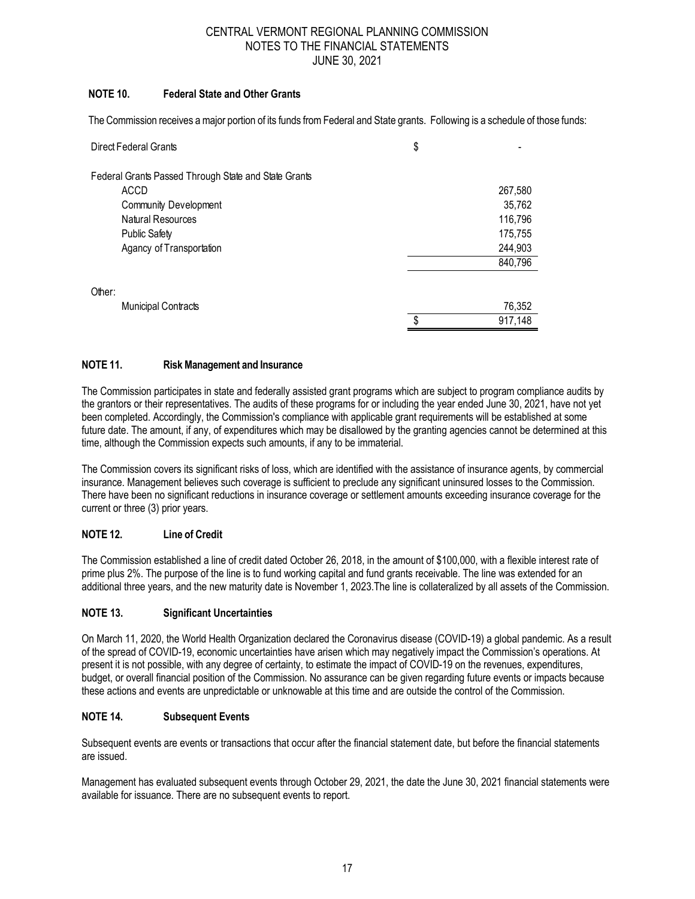## **NOTE 10. Federal State and Other Grants**

The Commission receives a major portion of its funds from Federal and State grants. Following is a schedule of those funds:

| Direct Federal Grants                                | \$            |
|------------------------------------------------------|---------------|
| Federal Grants Passed Through State and State Grants |               |
| ACCD                                                 | 267,580       |
| <b>Community Development</b>                         | 35,762        |
| Natural Resources                                    | 116,796       |
| <b>Public Safety</b>                                 | 175,755       |
| Agancy of Transportation                             | 244,903       |
|                                                      | 840,796       |
| Other:                                               |               |
| Municipal Contracts                                  | 76,352        |
|                                                      | \$<br>917,148 |

## **NOTE 11. Risk Management and Insurance**

The Commission participates in state and federally assisted grant programs which are subject to program compliance audits by the grantors or their representatives. The audits of these programs for or including the year ended June 30, 2021, have not yet been completed. Accordingly, the Commission's compliance with applicable grant requirements will be established at some future date. The amount, if any, of expenditures which may be disallowed by the granting agencies cannot be determined at this time, although the Commission expects such amounts, if any to be immaterial.

The Commission covers its significant risks of loss, which are identified with the assistance of insurance agents, by commercial insurance. Management believes such coverage is sufficient to preclude any significant uninsured losses to the Commission. There have been no significant reductions in insurance coverage or settlement amounts exceeding insurance coverage for the current or three (3) prior years.

## **NOTE 12. Line of Credit**

The Commission established a line of credit dated October 26, 2018, in the amount of \$100,000, with a flexible interest rate of prime plus 2%. The purpose of the line is to fund working capital and fund grants receivable. The line was extended for an additional three years, and the new maturity date is November 1, 2023.The line is collateralized by all assets of the Commission.

#### **NOTE 13. Significant Uncertainties**

On March 11, 2020, the World Health Organization declared the Coronavirus disease (COVID-19) a global pandemic. As a result of the spread of COVID-19, economic uncertainties have arisen which may negatively impact the Commission's operations. At present it is not possible, with any degree of certainty, to estimate the impact of COVID-19 on the revenues, expenditures, budget, or overall financial position of the Commission. No assurance can be given regarding future events or impacts because these actions and events are unpredictable or unknowable at this time and are outside the control of the Commission.

#### **NOTE 14. Subsequent Events**

Subsequent events are events or transactions that occur after the financial statement date, but before the financial statements are issued.

Management has evaluated subsequent events through October 29, 2021, the date the June 30, 2021 financial statements were available for issuance. There are no subsequent events to report.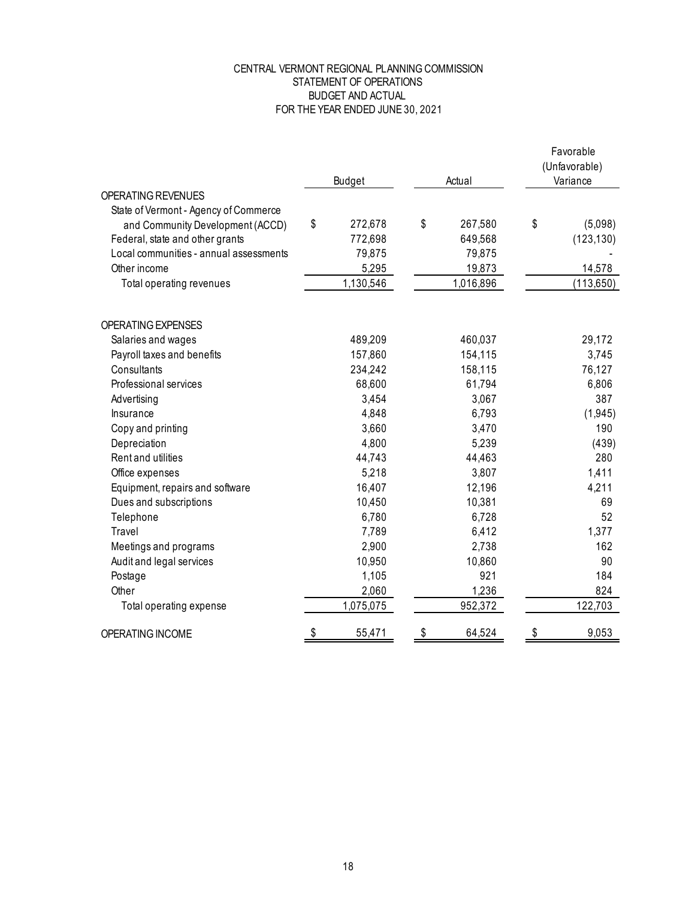## STATEMENT OF OPERATIONS BUDGET AND ACTUAL FOR THE YEAR ENDED JUNE 30, 2021 CENTRAL VERMONT REGIONAL PLANNING COMMISSION

|                                        |               |    |           | Favorable<br>(Unfavorable) |            |  |
|----------------------------------------|---------------|----|-----------|----------------------------|------------|--|
|                                        | Budget        |    | Actual    | Variance                   |            |  |
| OPERATING REVENUES                     |               |    |           |                            |            |  |
| State of Vermont - Agency of Commerce  |               |    |           |                            |            |  |
| and Community Development (ACCD)       | \$<br>272,678 | \$ | 267,580   | \$                         | (5,098)    |  |
| Federal, state and other grants        | 772,698       |    | 649,568   |                            | (123, 130) |  |
| Local communities - annual assessments | 79,875        |    | 79,875    |                            |            |  |
| Other income                           | 5,295         |    | 19,873    |                            | 14,578     |  |
| Total operating revenues               | 1,130,546     |    | 1,016,896 |                            | (113,650)  |  |
| OPERATING EXPENSES                     |               |    |           |                            |            |  |
| Salaries and wages                     | 489,209       |    | 460,037   |                            | 29,172     |  |
| Payroll taxes and benefits             | 157,860       |    | 154,115   |                            | 3,745      |  |
| Consultants                            | 234,242       |    | 158,115   |                            | 76,127     |  |
| Professional services                  | 68,600        |    | 61,794    |                            | 6,806      |  |
| Advertising                            | 3,454         |    | 3,067     |                            | 387        |  |
| Insurance                              | 4,848         |    | 6,793     |                            | (1,945)    |  |
| Copy and printing                      | 3,660         |    | 3,470     |                            | 190        |  |
| Depreciation                           | 4,800         |    | 5,239     |                            | (439)      |  |
| Rent and utilities                     | 44,743        |    | 44,463    |                            | 280        |  |
| Office expenses                        | 5,218         |    | 3,807     |                            | 1,411      |  |
| Equipment, repairs and software        | 16,407        |    | 12,196    |                            | 4,211      |  |
| Dues and subscriptions                 | 10,450        |    | 10,381    |                            | 69         |  |
| Telephone                              | 6,780         |    | 6,728     |                            | 52         |  |
| Travel                                 | 7,789         |    | 6,412     |                            | 1,377      |  |
| Meetings and programs                  | 2,900         |    | 2,738     |                            | 162        |  |
| Audit and legal services               | 10,950        |    | 10,860    |                            | 90         |  |
| Postage                                | 1,105         |    | 921       |                            | 184        |  |
| Other                                  | 2,060         |    | 1,236     |                            | 824        |  |
| Total operating expense                | 1,075,075     |    | 952,372   |                            | 122,703    |  |
| OPERATING INCOME                       | 55,471        | \$ | 64,524    | \$                         | 9,053      |  |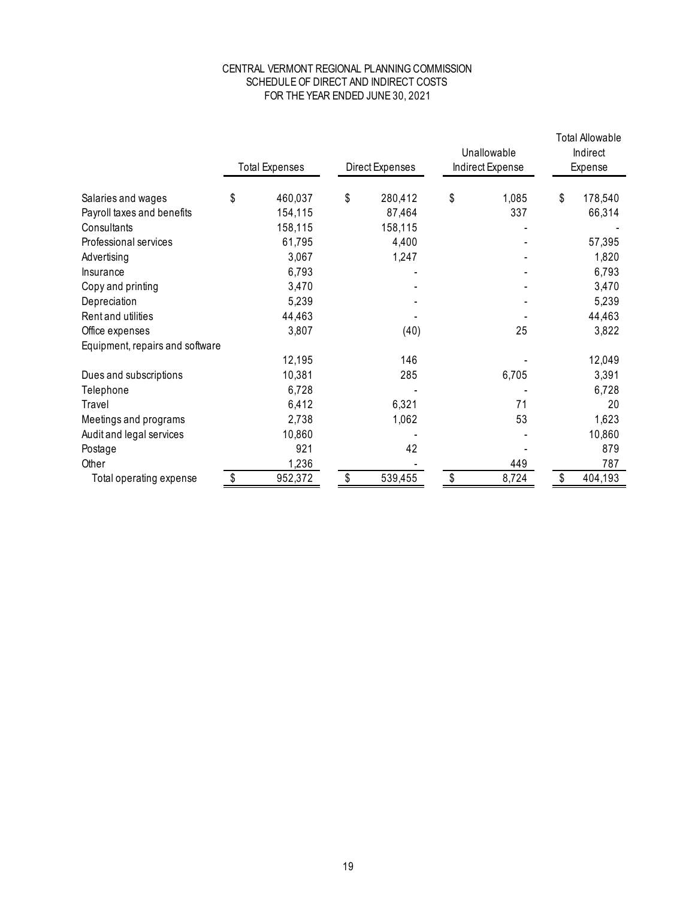## SCHEDULE OF DIRECT AND INDIRECT COSTS FOR THE YEAR ENDED JUNE 30, 2021 CENTRAL VERMONT REGIONAL PLANNING COMMISSION

|                                 | <b>Total Expenses</b><br>Direct Expenses |         | Unallowable<br>Indirect Expense |    | <b>Total Allowable</b><br>Indirect<br>Expense |    |         |
|---------------------------------|------------------------------------------|---------|---------------------------------|----|-----------------------------------------------|----|---------|
| Salaries and wages              | \$                                       | 460,037 | \$<br>280,412                   | \$ | 1,085                                         | \$ | 178,540 |
| Payroll taxes and benefits      |                                          | 154,115 | 87,464                          |    | 337                                           |    | 66,314  |
| Consultants                     |                                          | 158,115 | 158,115                         |    |                                               |    |         |
| Professional services           |                                          | 61,795  | 4,400                           |    |                                               |    | 57,395  |
| Advertising                     |                                          | 3,067   | 1,247                           |    |                                               |    | 1,820   |
| Insurance                       |                                          | 6,793   |                                 |    |                                               |    | 6,793   |
| Copy and printing               |                                          | 3,470   |                                 |    |                                               |    | 3,470   |
| Depreciation                    |                                          | 5,239   |                                 |    |                                               |    | 5,239   |
| Rent and utilities              |                                          | 44,463  |                                 |    |                                               |    | 44,463  |
| Office expenses                 |                                          | 3,807   | (40)                            |    | 25                                            |    | 3,822   |
| Equipment, repairs and software |                                          |         |                                 |    |                                               |    |         |
|                                 |                                          | 12,195  | 146                             |    |                                               |    | 12,049  |
| Dues and subscriptions          |                                          | 10,381  | 285                             |    | 6,705                                         |    | 3,391   |
| Telephone                       |                                          | 6,728   |                                 |    |                                               |    | 6,728   |
| Travel                          |                                          | 6,412   | 6,321                           |    | 71                                            |    | 20      |
| Meetings and programs           |                                          | 2,738   | 1,062                           |    | 53                                            |    | 1,623   |
| Audit and legal services        |                                          | 10,860  |                                 |    |                                               |    | 10,860  |
| Postage                         |                                          | 921     | 42                              |    |                                               |    | 879     |
| Other                           |                                          | 1,236   |                                 |    | 449                                           |    | 787     |
| Total operating expense         | -\$                                      | 952,372 | \$<br>539,455                   | \$ | 8,724                                         | \$ | 404,193 |